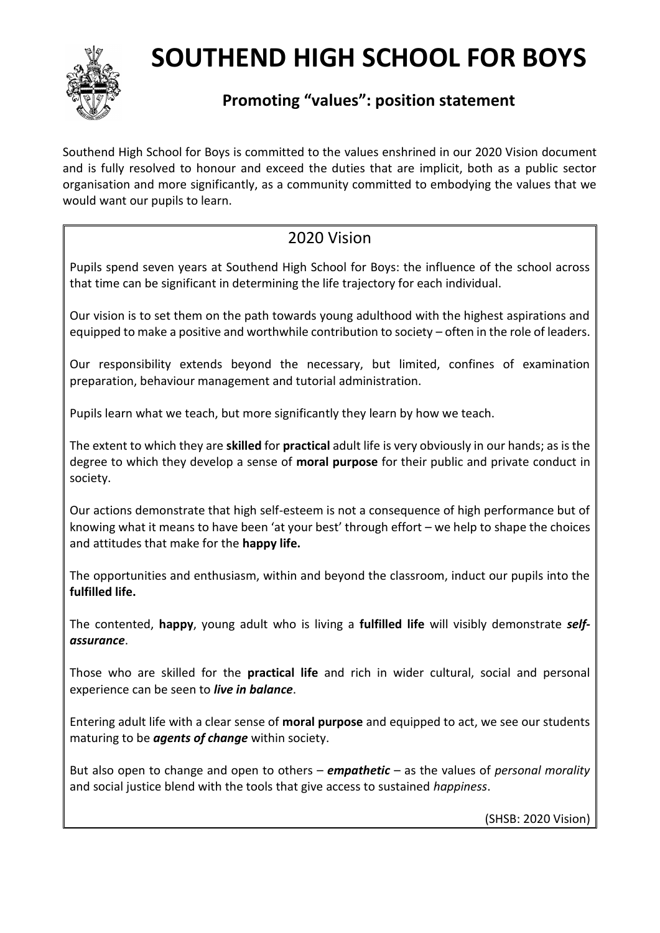

## **SOUTHEND HIGH SCHOOL FOR BOYS**

## **Promoting "values": position statement**

Southend High School for Boys is committed to the values enshrined in our 2020 Vision document and is fully resolved to honour and exceed the duties that are implicit, both as a public sector organisation and more significantly, as a community committed to embodying the values that we would want our pupils to learn.

## 2020 Vision

Pupils spend seven years at Southend High School for Boys: the influence of the school across that time can be significant in determining the life trajectory for each individual.

Our vision is to set them on the path towards young adulthood with the highest aspirations and equipped to make a positive and worthwhile contribution to society – often in the role of leaders.

Our responsibility extends beyond the necessary, but limited, confines of examination preparation, behaviour management and tutorial administration.

Pupils learn what we teach, but more significantly they learn by how we teach.

The extent to which they are **skilled** for **practical** adult life is very obviously in our hands; as is the degree to which they develop a sense of **moral purpose** for their public and private conduct in society.

Our actions demonstrate that high self-esteem is not a consequence of high performance but of knowing what it means to have been 'at your best' through effort – we help to shape the choices and attitudes that make for the **happy life.**

The opportunities and enthusiasm, within and beyond the classroom, induct our pupils into the **fulfilled life.**

The contented, **happy**, young adult who is living a **fulfilled life** will visibly demonstrate *selfassurance*.

Those who are skilled for the **practical life** and rich in wider cultural, social and personal experience can be seen to *live in balance*.

Entering adult life with a clear sense of **moral purpose** and equipped to act, we see our students maturing to be *agents of change* within society.

But also open to change and open to others – *empathetic* – as the values of *personal morality* and social justice blend with the tools that give access to sustained *happiness*.

(SHSB: 2020 Vision)